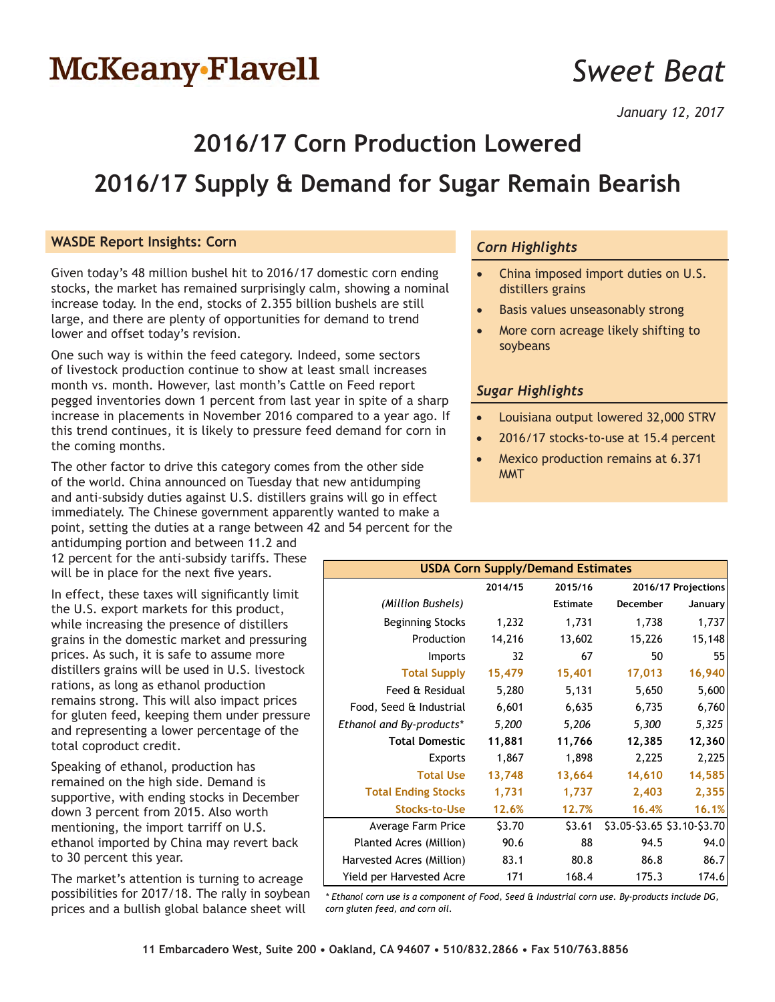# McKeany-Flavell

## *Sweet Beat*

*January 12, 2017*

### **2016/17 Corn Production Lowered**

### **2016/17 Supply & Demand for Sugar Remain Bearish**

#### **WASDE Report Insights: Corn**

Given today's 48 million bushel hit to 2016/17 domestic corn ending stocks, the market has remained surprisingly calm, showing a nominal increase today. In the end, stocks of 2.355 billion bushels are still large, and there are plenty of opportunities for demand to trend lower and offset today's revision.

One such way is within the feed category. Indeed, some sectors of livestock production continue to show at least small increases month vs. month. However, last month's Cattle on Feed report pegged inventories down 1 percent from last year in spite of a sharp increase in placements in November 2016 compared to a year ago. If this trend continues, it is likely to pressure feed demand for corn in the coming months.

The other factor to drive this category comes from the other side of the world. China announced on Tuesday that new antidumping and anti-subsidy duties against U.S. distillers grains will go in effect immediately. The Chinese government apparently wanted to make a point, setting the duties at a range between 42 and 54 percent for the

antidumping portion and between 11.2 and 12 percent for the anti-subsidy tariffs. These will be in place for the next five years.

In effect, these taxes will significantly limit the U.S. export markets for this product, while increasing the presence of distillers grains in the domestic market and pressuring prices. As such, it is safe to assume more distillers grains will be used in U.S. livestock rations, as long as ethanol production remains strong. This will also impact prices for gluten feed, keeping them under pressure and representing a lower percentage of the total coproduct credit.

Speaking of ethanol, production has remained on the high side. Demand is supportive, with ending stocks in December down 3 percent from 2015. Also worth mentioning, the import tarriff on U.S. ethanol imported by China may revert back to 30 percent this year.

The market's attention is turning to acreage possibilities for 2017/18. The rally in soybean prices and a bullish global balance sheet will

### *Corn Highlights*

- China imposed import duties on U.S. distillers grains
- Basis values unseasonably strong
- More corn acreage likely shifting to soybeans

#### *Sugar Highlights*

- Louisiana output lowered 32,000 STRV
- 2016/17 stocks-to-use at 15.4 percent
- Mexico production remains at 6.371 MMT

| <b>USDA Corn Supply/Demand Estimates</b> |         |          |                             |                     |  |  |  |  |
|------------------------------------------|---------|----------|-----------------------------|---------------------|--|--|--|--|
|                                          | 2014/15 | 2015/16  |                             | 2016/17 Projections |  |  |  |  |
| (Million Bushels)                        |         | Estimate | December                    | January             |  |  |  |  |
| <b>Beginning Stocks</b>                  | 1,232   | 1,731    | 1,738                       | 1,737               |  |  |  |  |
| Production                               | 14,216  | 13,602   | 15,226                      | 15,148              |  |  |  |  |
| Imports                                  | 32      | 67       | 50                          | 55                  |  |  |  |  |
| <b>Total Supply</b>                      | 15,479  | 15,401   | 17,013                      | 16,940              |  |  |  |  |
| Feed & Residual                          | 5,280   | 5,131    | 5,650                       | 5,600               |  |  |  |  |
| Food, Seed & Industrial                  | 6,601   | 6,635    | 6,735                       | 6,760               |  |  |  |  |
| Ethanol and By-products*                 | 5,200   | 5,206    | 5,300                       | 5,325               |  |  |  |  |
| <b>Total Domestic</b>                    | 11,881  | 11,766   | 12,385                      | 12,360              |  |  |  |  |
| <b>Exports</b>                           | 1,867   | 1,898    | 2,225                       | 2,225               |  |  |  |  |
| <b>Total Use</b>                         | 13,748  | 13,664   | 14,610                      | 14,585              |  |  |  |  |
| <b>Total Ending Stocks</b>               | 1,731   | 1,737    | 2,403                       | 2,355               |  |  |  |  |
| <b>Stocks-to-Use</b>                     | 12.6%   | 12.7%    | 16.4%                       | 16.1%               |  |  |  |  |
| Average Farm Price                       | \$3.70  | \$3.61   | \$3.05-\$3.65 \$3.10-\$3.70 |                     |  |  |  |  |
| Planted Acres (Million)                  | 90.6    | 88       | 94.5                        | 94.0                |  |  |  |  |
| Harvested Acres (Million)                | 83.1    | 80.8     | 86.8                        | 86.7                |  |  |  |  |
| Yield per Harvested Acre                 | 171     | 168.4    | 175.3                       | 174.6               |  |  |  |  |

*\* Ethanol corn use is a component of Food, Seed & Industrial corn use. By-products include DG, corn gluten feed, and corn oil.*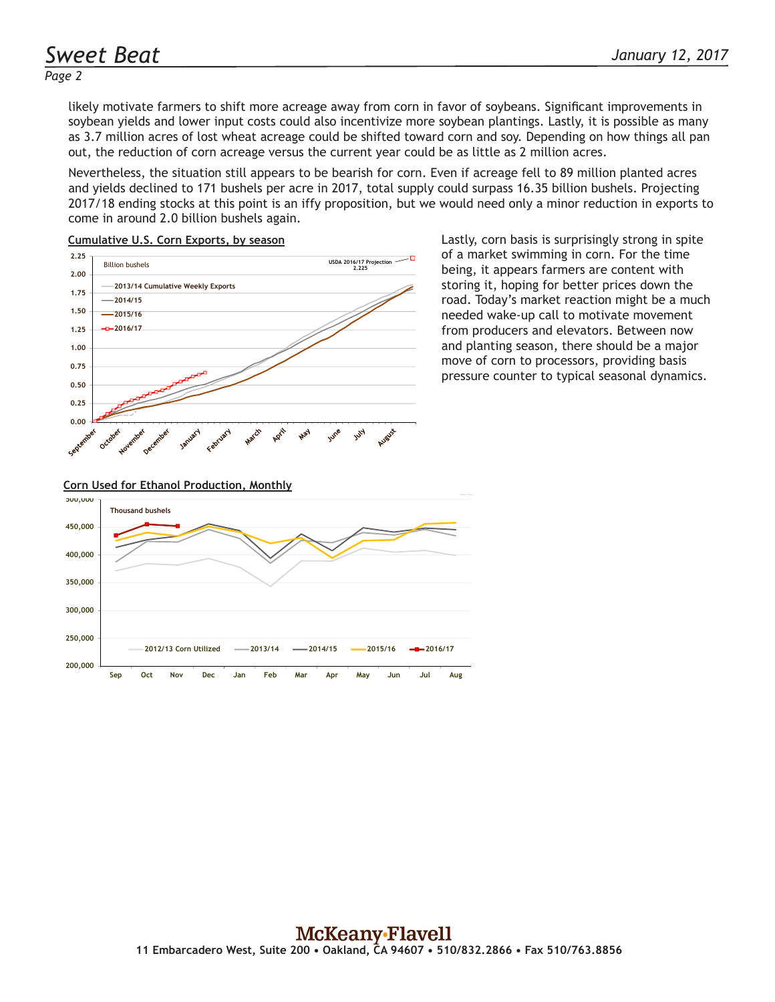*Page 2*

likely motivate farmers to shift more acreage away from corn in favor of soybeans. Significant improvements in soybean yields and lower input costs could also incentivize more soybean plantings. Lastly, it is possible as many as 3.7 million acres of lost wheat acreage could be shifted toward corn and soy. Depending on how things all pan out, the reduction of corn acreage versus the current year could be as little as 2 million acres.

Nevertheless, the situation still appears to be bearish for corn. Even if acreage fell to 89 million planted acres and yields declined to 171 bushels per acre in 2017, total supply could surpass 16.35 billion bushels. Projecting 2017/18 ending stocks at this point is an iffy proposition, but we would need only a minor reduction in exports to come in around 2.0 billion bushels again.





Lastly, corn basis is surprisingly strong in spite of a market swimming in corn. For the time being, it appears farmers are content with storing it, hoping for better prices down the road. Today's market reaction might be a much needed wake-up call to motivate movement from producers and elevators. Between now and planting season, there should be a major move of corn to processors, providing basis pressure counter to typical seasonal dynamics.

#### **Corn Used for Ethanol Production, Monthly**

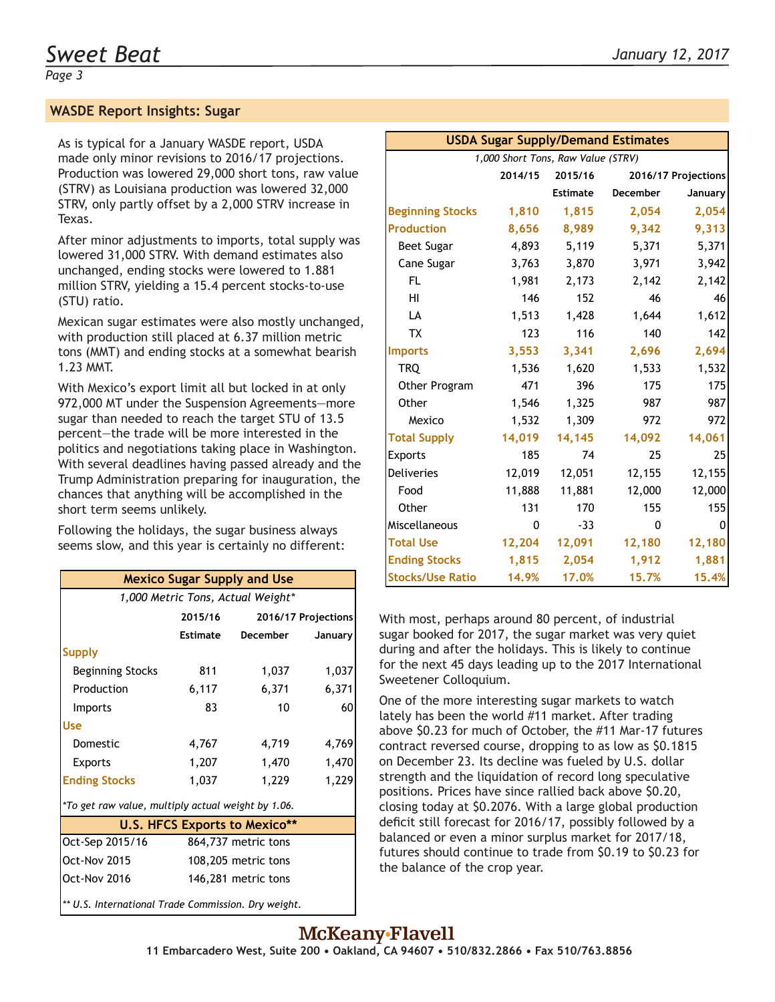#### **WASDE Report Insights: Sugar**

As is typical for a January WASDE report, USDA made only minor revisions to 2016/17 projections. Production was lowered 29,000 short tons, raw value (STRV) as Louisiana production was lowered 32,000 STRV, only partly offset by a 2,000 STRV increase in Texas.

After minor adjustments to imports, total supply was lowered 31,000 STRV. With demand estimates also unchanged, ending stocks were lowered to 1.881 million STRV, yielding a 15.4 percent stocks-to-use (STU) ratio.

Mexican sugar estimates were also mostly unchanged, with production still placed at 6.37 million metric tons (MMT) and ending stocks at a somewhat bearish 1.23 MMT.

With Mexico's export limit all but locked in at only 972,000 MT under the Suspension Agreements—more sugar than needed to reach the target STU of 13.5 percent—the trade will be more interested in the politics and negotiations taking place in Washington. With several deadlines having passed already and the Trump Administration preparing for inauguration, the chances that anything will be accomplished in the short term seems unlikely.

Following the holidays, the sugar business always seems slow, and this year is certainly no different:

| <b>Mexico Sugar Supply and Use</b>                  |                     |                     |         |  |  |  |  |
|-----------------------------------------------------|---------------------|---------------------|---------|--|--|--|--|
| 1,000 Metric Tons, Actual Weight*                   |                     |                     |         |  |  |  |  |
|                                                     | 2015/16             | 2016/17 Projections |         |  |  |  |  |
|                                                     | Estimate            | December            | January |  |  |  |  |
| <b>Supply</b>                                       |                     |                     |         |  |  |  |  |
| Beginning Stocks                                    | 811                 | 1,037               | 1,037   |  |  |  |  |
| Production                                          | 6,117               | 6,371               | 6,371   |  |  |  |  |
| <b>Imports</b>                                      | 83                  | 10                  | 60      |  |  |  |  |
| <b>Use</b>                                          |                     |                     |         |  |  |  |  |
| Domestic                                            | 4,767               | 4,719               | 4,769   |  |  |  |  |
| <b>Exports</b>                                      | 1,207               | 1,470               | 1,470   |  |  |  |  |
| <b>Ending Stocks</b>                                | 1,037               | 1,229               | 1,229   |  |  |  |  |
| *To get raw value, multiply actual weight by 1.06.  |                     |                     |         |  |  |  |  |
| <b>U.S. HFCS Exports to Mexico**</b>                |                     |                     |         |  |  |  |  |
| Oct-Sep 2015/16                                     | 864,737 metric tons |                     |         |  |  |  |  |
| <b>Oct-Nov 2015</b>                                 | 108,205 metric tons |                     |         |  |  |  |  |
| Oct-Nov 2016                                        | 146,281 metric tons |                     |         |  |  |  |  |
| ** U.S. International Trade Commission. Dry weight. |                     |                     |         |  |  |  |  |

| <b>USDA Sugar Supply/Demand Estimates</b> |          |          |          |                     |  |  |  |
|-------------------------------------------|----------|----------|----------|---------------------|--|--|--|
| 1,000 Short Tons, Raw Value (STRV)        |          |          |          |                     |  |  |  |
|                                           | 2014/15  | 2015/16  |          | 2016/17 Projections |  |  |  |
|                                           |          | Estimate | December | January             |  |  |  |
| <b>Beginning Stocks</b>                   | 1,810    | 1,815    | 2,054    | 2,054               |  |  |  |
| <b>Production</b>                         | 8,656    | 8,989    | 9,342    | 9,313               |  |  |  |
| Beet Sugar                                | 4,893    | 5,119    | 5,371    | 5,371               |  |  |  |
| Cane Sugar                                | 3,763    | 3,870    | 3,971    | 3,942               |  |  |  |
| FL.                                       | 1,981    | 2,173    | 2,142    | 2,142               |  |  |  |
| HI                                        | 146      | 152      | 46       | 46                  |  |  |  |
| LA                                        | 1,513    | 1,428    | 1,644    | 1,612               |  |  |  |
| <b>TX</b>                                 | 123      | 116      | 140      | 142                 |  |  |  |
| <b>Imports</b>                            | 3,553    | 3,341    | 2,696    | 2,694               |  |  |  |
| <b>TRO</b>                                | 1,536    | 1,620    | 1,533    | 1,532               |  |  |  |
| Other Program                             | 471      | 396      | 175      | 175                 |  |  |  |
| Other                                     | 1,546    | 1,325    | 987      | 987                 |  |  |  |
| Mexico                                    | 1,532    | 1,309    | 972      | 972                 |  |  |  |
| <b>Total Supply</b>                       | 14,019   | 14,145   | 14,092   | 14,061              |  |  |  |
| Exports                                   | 185      | 74       | 25       | 25                  |  |  |  |
| <b>Deliveries</b>                         | 12,019   | 12,051   | 12,155   | 12,155              |  |  |  |
| Food                                      | 11,888   | 11,881   | 12,000   | 12,000              |  |  |  |
| Other                                     | 131      | 170      | 155      | 155                 |  |  |  |
| Miscellaneous                             | $\Omega$ | $-33$    | 0        | 0                   |  |  |  |
| <b>Total Use</b>                          | 12,204   | 12,091   | 12,180   | 12,180              |  |  |  |
| <b>Ending Stocks</b>                      | 1,815    | 2,054    | 1,912    | 1,881               |  |  |  |
| <b>Stocks/Use Ratio</b>                   | 14.9%    | 17.0%    | 15.7%    | 15.4%               |  |  |  |

With most, perhaps around 80 percent, of industrial sugar booked for 2017, the sugar market was very quiet during and after the holidays. This is likely to continue for the next 45 days leading up to the 2017 International Sweetener Colloquium.

One of the more interesting sugar markets to watch lately has been the world #11 market. After trading above \$0.23 for much of October, the #11 Mar-17 futures contract reversed course, dropping to as low as \$0.1815 on December 23. Its decline was fueled by U.S. dollar strength and the liquidation of record long speculative positions. Prices have since rallied back above \$0.20, closing today at \$0.2076. With a large global production deficit still forecast for 2016/17, possibly followed by a balanced or even a minor surplus market for 2017/18, futures should continue to trade from \$0.19 to \$0.23 for the balance of the crop year.